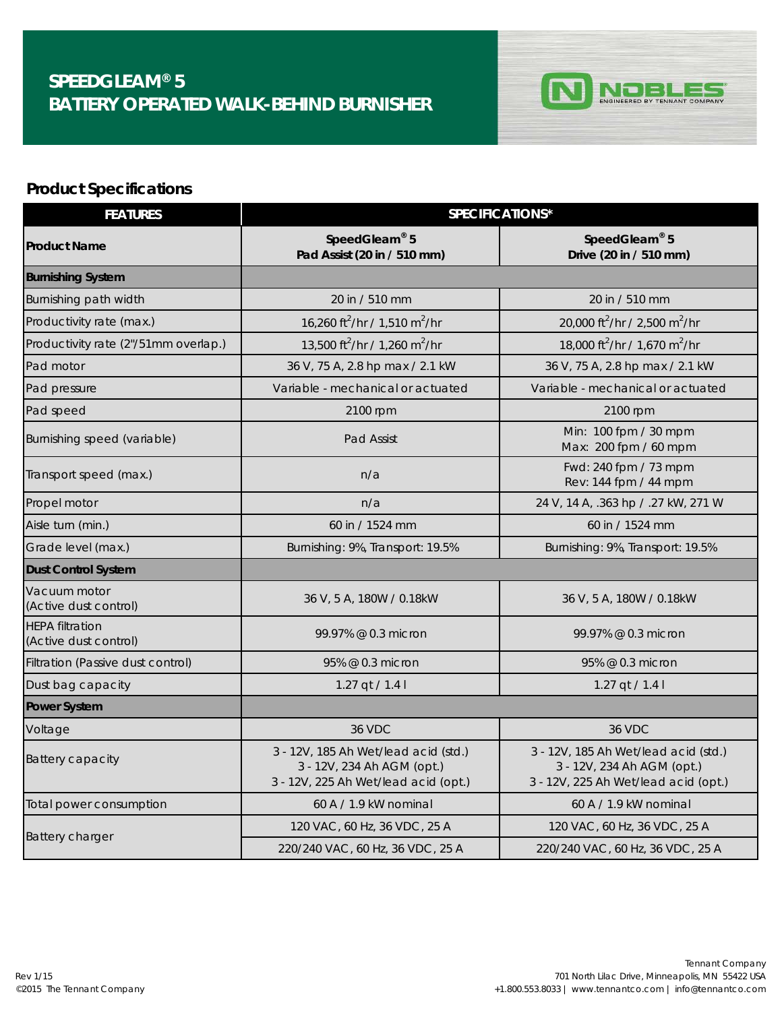## **CALL**<br>
CALLEAM®
5 **CALLEAM®**5 **CALLEAM®**5 **CALLEAM®**5 **CALLEAM®**5 **CALLEAM®**5 **BATTERY OPERATED WALK-BEHIND BURNISHER**



## **Product Specifications**

| <b>FEATURES</b>                                 | SPECIFICATIONS*                                                                                            |                                                                                                            |
|-------------------------------------------------|------------------------------------------------------------------------------------------------------------|------------------------------------------------------------------------------------------------------------|
| <b>Product Name</b>                             | SpeedGleam® 5<br>Pad Assist (20 in / 510 mm)                                                               | SpeedGleam® 5<br>Drive (20 in / 510 mm)                                                                    |
| <b>Burnishing System</b>                        |                                                                                                            |                                                                                                            |
| Burnishing path width                           | 20 in / 510 mm                                                                                             | 20 in / 510 mm                                                                                             |
| Productivity rate (max.)                        | 16,260 ft <sup>2</sup> /hr / 1,510 m <sup>2</sup> /hr                                                      | 20,000 ft <sup>2</sup> /hr / 2,500 m <sup>2</sup> /hr                                                      |
| Productivity rate (2"/51mm overlap.)            | 13.500 ft <sup>2</sup> /hr / 1.260 m <sup>2</sup> /hr                                                      | 18,000 ft <sup>2</sup> /hr / 1,670 m <sup>2</sup> /hr                                                      |
| Pad motor                                       | 36 V, 75 A, 2.8 hp max / 2.1 kW                                                                            | 36 V, 75 A, 2.8 hp max / 2.1 kW                                                                            |
| Pad pressure                                    | Variable - mechanical or actuated                                                                          | Variable - mechanical or actuated                                                                          |
| Pad speed                                       | 2100 rpm                                                                                                   | 2100 rpm                                                                                                   |
| Burnishing speed (variable)                     | <b>Pad Assist</b>                                                                                          | Min: 100 fpm / 30 mpm<br>Max: 200 fpm / 60 mpm                                                             |
| Transport speed (max.)                          | n/a                                                                                                        | Fwd: 240 fpm / 73 mpm<br>Rev: 144 fpm / 44 mpm                                                             |
| Propel motor                                    | n/a                                                                                                        | 24 V, 14 A, .363 hp / .27 kW, 271 W                                                                        |
| Aisle turn (min.)                               | 60 in / 1524 mm                                                                                            | 60 in / 1524 mm                                                                                            |
| Grade level (max.)                              | Burnishing: 9%, Transport: 19.5%                                                                           | Burnishing: 9%, Transport: 19.5%                                                                           |
| <b>Dust Control System</b>                      |                                                                                                            |                                                                                                            |
| Vacuum motor<br>(Active dust control)           | 36 V, 5 A, 180W / 0.18kW                                                                                   | 36 V, 5 A, 180W / 0.18kW                                                                                   |
| <b>HEPA filtration</b><br>(Active dust control) | 99.97% @ 0.3 micron                                                                                        | 99.97% @ 0.3 micron                                                                                        |
| Filtration (Passive dust control)               | 95% @ 0.3 micron                                                                                           | 95% @ 0.3 micron                                                                                           |
| Dust bag capacity                               | 1.27 $qt / 1.41$                                                                                           | 1.27 $qt / 1.41$                                                                                           |
| Power System                                    |                                                                                                            |                                                                                                            |
| Voltage                                         | <b>36 VDC</b>                                                                                              | <b>36 VDC</b>                                                                                              |
| <b>Battery capacity</b>                         | 3 - 12V, 185 Ah Wet/lead acid (std.)<br>3 - 12V, 234 Ah AGM (opt.)<br>3 - 12V, 225 Ah Wet/lead acid (opt.) | 3 - 12V, 185 Ah Wet/lead acid (std.)<br>3 - 12V, 234 Ah AGM (opt.)<br>3 - 12V, 225 Ah Wet/lead acid (opt.) |
| Total power consumption                         | 60 A / 1.9 kW nominal                                                                                      | 60 A / 1.9 kW nominal                                                                                      |
| <b>Battery charger</b>                          | 120 VAC, 60 Hz, 36 VDC, 25 A                                                                               | 120 VAC, 60 Hz, 36 VDC, 25 A                                                                               |
|                                                 | 220/240 VAC, 60 Hz, 36 VDC, 25 A                                                                           | 220/240 VAC, 60 Hz, 36 VDC, 25 A                                                                           |